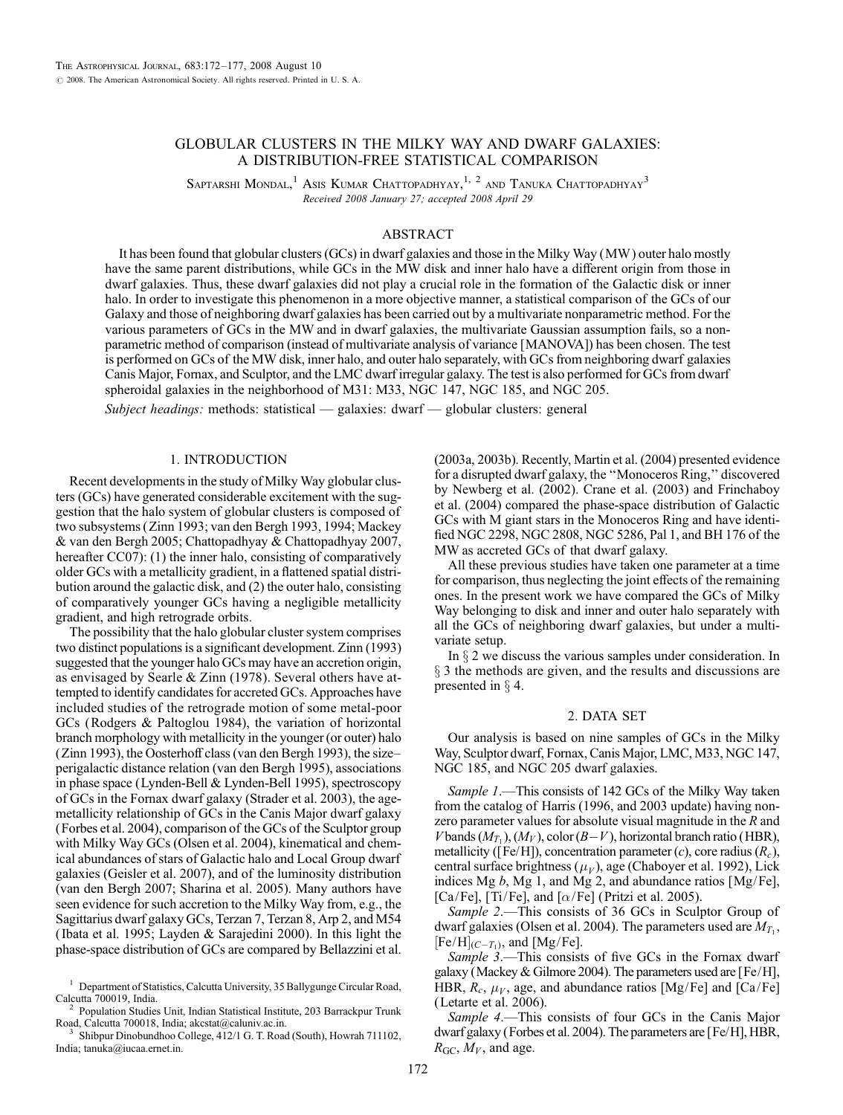# GLOBULAR CLUSTERS IN THE MILKY WAY AND DWARF GALAXIES: A DISTRIBUTION-FREE STATISTICAL COMPARISON

SAPTARSHI MONDAL,<sup>1</sup> Asis Kumar Chattopadhyay,<sup>1, 2</sup> and Tanuka Chattopadhyay<sup>3</sup> Received 2008 January 27; accepted 2008 April 29

## ABSTRACT

It has been found that globular clusters (GCs) in dwarf galaxies and those in the Milky Way (MW ) outer halo mostly have the same parent distributions, while GCs in the MW disk and inner halo have a different origin from those in dwarf galaxies. Thus, these dwarf galaxies did not play a crucial role in the formation of the Galactic disk or inner halo. In order to investigate this phenomenon in a more objective manner, a statistical comparison of the GCs of our Galaxy and those of neighboring dwarf galaxies has been carried out by a multivariate nonparametric method. For the various parameters of GCs in the MW and in dwarf galaxies, the multivariate Gaussian assumption fails, so a nonparametric method of comparison (instead of multivariate analysis of variance [MANOVA]) has been chosen. The test is performed on GCs of the MW disk, inner halo, and outer halo separately, with GCs from neighboring dwarf galaxies Canis Major, Fornax, and Sculptor, and the LMC dwarf irregular galaxy. The test is also performed for GCs from dwarf spheroidal galaxies in the neighborhood of M31: M33, NGC 147, NGC 185, and NGC 205.

Subject headings: methods: statistical — galaxies: dwarf — globular clusters: general

#### 1. INTRODUCTION

Recent developments in the study of Milky Way globular clusters (GCs) have generated considerable excitement with the suggestion that the halo system of globular clusters is composed of two subsystems (Zinn 1993; van den Bergh 1993, 1994; Mackey & van den Bergh 2005; Chattopadhyay & Chattopadhyay 2007, hereafter CC07): (1) the inner halo, consisting of comparatively older GCs with a metallicity gradient, in a flattened spatial distribution around the galactic disk, and (2) the outer halo, consisting of comparatively younger GCs having a negligible metallicity gradient, and high retrograde orbits.

The possibility that the halo globular cluster system comprises two distinct populations is a significant development. Zinn (1993) suggested that the younger halo GCs may have an accretion origin, as envisaged by Searle & Zinn (1978). Several others have attempted to identify candidates for accreted GCs. Approaches have included studies of the retrograde motion of some metal-poor GCs (Rodgers & Paltoglou 1984), the variation of horizontal branch morphology with metallicity in the younger (or outer) halo (Zinn 1993), the Oosterhoff class (van den Bergh 1993), the size– perigalactic distance relation (van den Bergh 1995), associations in phase space (Lynden-Bell & Lynden-Bell 1995), spectroscopy of GCs in the Fornax dwarf galaxy (Strader et al. 2003), the agemetallicity relationship of GCs in the Canis Major dwarf galaxy (Forbes et al. 2004), comparison of the GCs of the Sculptor group with Milky Way GCs (Olsen et al. 2004), kinematical and chemical abundances of stars of Galactic halo and Local Group dwarf galaxies (Geisler et al. 2007), and of the luminosity distribution (van den Bergh 2007; Sharina et al. 2005). Many authors have seen evidence for such accretion to the Milky Way from, e.g., the Sagittarius dwarf galaxy GCs, Terzan 7, Terzan 8, Arp 2, and M54 ( Ibata et al. 1995; Layden & Sarajedini 2000). In this light the phase-space distribution of GCs are compared by Bellazzini et al.

<sup>1</sup> Department of Statistics, Calcutta University, 35 Ballygunge Circular Road,

Calcutta 700019, India. <sup>2</sup> Population Studies Unit, Indian Statistical Institute, 203 Barrackpur Trunk

Shibpur Dinobundhoo College, 412/1 G. T. Road (South), Howrah 711102, India; tanuka@iucaa.ernet.in.

(2003a, 2003b). Recently, Martin et al. (2004) presented evidence for a disrupted dwarf galaxy, the ''Monoceros Ring,'' discovered by Newberg et al. (2002). Crane et al. (2003) and Frinchaboy et al. (2004) compared the phase-space distribution of Galactic GCs with M giant stars in the Monoceros Ring and have identified NGC 2298, NGC 2808, NGC 5286, Pal 1, and BH 176 of the MW as accreted GCs of that dwarf galaxy.

All these previous studies have taken one parameter at a time for comparison, thus neglecting the joint effects of the remaining ones. In the present work we have compared the GCs of Milky Way belonging to disk and inner and outer halo separately with all the GCs of neighboring dwarf galaxies, but under a multivariate setup.

In  $\S 2$  we discuss the various samples under consideration. In  $\S$  3 the methods are given, and the results and discussions are presented in  $\S$  4.

### 2. DATA SET

Our analysis is based on nine samples of GCs in the Milky Way, Sculptor dwarf, Fornax, Canis Major, LMC, M33, NGC 147, NGC 185, and NGC 205 dwarf galaxies.

Sample 1.—This consists of 142 GCs of the Milky Way taken from the catalog of Harris (1996, and 2003 update) having nonzero parameter values for absolute visual magnitude in the R and V bands  $(M_T)$ ,  $(M_V)$ , color  $(B-V)$ , horizontal branch ratio (HBR), metallicity ([Fe/H]), concentration parameter (c), core radius  $(R<sub>c</sub>)$ , central surface brightness  $(\mu_V)$ , age (Chaboyer et al. 1992), Lick indices Mg b, Mg 1, and Mg 2, and abundance ratios [Mg/Fe], [Ca/Fe], [Ti/Fe], and [ $\alpha$ /Fe] (Pritzi et al. 2005).

Sample 2.—This consists of 36 GCs in Sculptor Group of dwarf galaxies (Olsen et al. 2004). The parameters used are  $M_{T_1}$ ,  $[Fe/H]_{(C-T_1)}$ , and  $[Mg/Fe]$ .

Sample 3.—This consists of five GCs in the Fornax dwarf galaxy (Mackey & Gilmore 2004). The parameters used are [Fe/H], HBR,  $R_c$ ,  $\mu_V$ , age, and abundance ratios [Mg/Fe] and [Ca/Fe] (Letarte et al. 2006).

Sample 4.—This consists of four GCs in the Canis Major dwarf galaxy (Forbes et al. 2004). The parameters are [Fe/H], HBR,  $R_{\text{GC}}$ ,  $M_V$ , and age.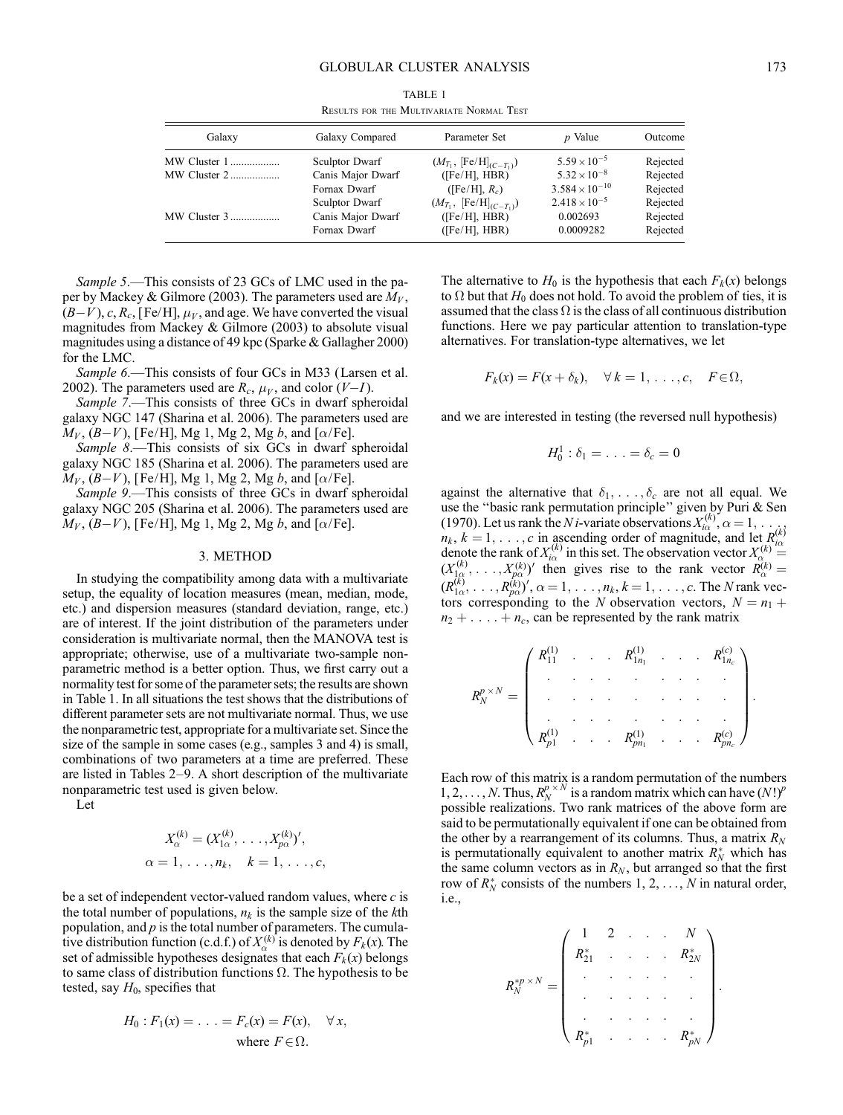| Galaxy       | Galaxy Compared       | Parameter Set                        | <i>p</i> Value          | Outcome  |
|--------------|-----------------------|--------------------------------------|-------------------------|----------|
| MW Cluster 1 | Sculptor Dwarf        | $(M_{T_1}, [Fe/H]_{(C-T_1)})$        | $5.59 \times 10^{-5}$   | Rejected |
| MW Cluster 2 | Canis Major Dwarf     | $(Fe/H]$ , HBR)                      | $5.32 \times 10^{-8}$   | Rejected |
|              | Fornax Dwarf          | $(Fe/H, R_c)$                        | $3.584 \times 10^{-10}$ | Rejected |
|              | <b>Sculptor Dwarf</b> | $(M_{T_1}, [\text{Fe/H}]_{(C-T_1)})$ | $2.418 \times 10^{-5}$  | Rejected |
| MW Cluster 3 | Canis Major Dwarf     | (Fe/H, HBR)                          | 0.002693                | Rejected |
|              | Fornax Dwarf          | $(Fe/H)$ , HBR)                      | 0.0009282               | Rejected |

TABLE 1 Results for the Multivariate Normal Test

Sample 5.—This consists of 23 GCs of LMC used in the paper by Mackey & Gilmore (2003). The parameters used are  $M_V$ ,  $(B-V)$ , c,  $R_c$ , [Fe/H],  $\mu_V$ , and age. We have converted the visual magnitudes from Mackey & Gilmore (2003) to absolute visual magnitudes using a distance of 49 kpc (Sparke & Gallagher 2000) for the LMC.

Sample 6.—This consists of four GCs in M33 (Larsen et al. 2002). The parameters used are  $R_c$ ,  $\mu_V$ , and color (V-I).

Sample 7.—This consists of three GCs in dwarf spheroidal galaxy NGC 147 (Sharina et al. 2006). The parameters used are  $M_V$ ,  $(B-V)$ , [Fe/H], Mg 1, Mg 2, Mg b, and [ $\alpha$ /Fe].

Sample 8.—This consists of six GCs in dwarf spheroidal galaxy NGC 185 (Sharina et al. 2006). The parameters used are  $M_V$ ,  $(B-V)$ , [Fe/H], Mg 1, Mg 2, Mg b, and [ $\alpha$ /Fe].

Sample 9.—This consists of three GCs in dwarf spheroidal galaxy NGC 205 (Sharina et al. 2006). The parameters used are  $M_V$ ,  $(B-V)$ , [Fe/H], Mg 1, Mg 2, Mg b, and [ $\alpha$ /Fe].

### 3. METHOD

In studying the compatibility among data with a multivariate setup, the equality of location measures (mean, median, mode, etc.) and dispersion measures (standard deviation, range, etc.) are of interest. If the joint distribution of the parameters under consideration is multivariate normal, then the MANOVA test is appropriate; otherwise, use of a multivariate two-sample nonparametric method is a better option. Thus, we first carry out a normality test for some of the parameter sets; the results are shown in Table 1. In all situations the test shows that the distributions of different parameter sets are not multivariate normal. Thus, we use the nonparametric test, appropriate for a multivariate set. Since the size of the sample in some cases (e.g., samples 3 and 4) is small, combinations of two parameters at a time are preferred. These are listed in Tables 2–9. A short description of the multivariate nonparametric test used is given below.

Let

$$
X_{\alpha}^{(k)} = (X_{1\alpha}^{(k)}, \dots, X_{p\alpha}^{(k)})',
$$
  
\n $\alpha = 1, \dots, n_k, \quad k = 1, \dots, c,$ 

be a set of independent vector-valued random values, where  $c$  is the total number of populations,  $n_k$  is the sample size of the kth population, and  $p$  is the total number of parameters. The cumulative distribution function (c.d.f.) of  $X_\alpha^{(k)}$  is denoted by  $F_k(x)$ . The set of admissible hypotheses designates that each  $F_k(x)$  belongs to same class of distribution functions  $\Omega$ . The hypothesis to be tested, say  $H_0$ , specifies that

$$
H_0: F_1(x) = \ldots = F_c(x) = F(x), \quad \forall x,
$$
  
where  $F \in \Omega$ .

The alternative to  $H_0$  is the hypothesis that each  $F_k(x)$  belongs to  $\Omega$  but that  $H_0$  does not hold. To avoid the problem of ties, it is assumed that the class  $\Omega$  is the class of all continuous distribution functions. Here we pay particular attention to translation-type alternatives. For translation-type alternatives, we let

$$
F_k(x) = F(x + \delta_k), \quad \forall k = 1, \ldots, c, \quad F \in \Omega,
$$

and we are interested in testing (the reversed null hypothesis)

$$
H_0^1: \delta_1 = \ldots = \delta_c = 0
$$

against the alternative that  $\delta_1$ , ...,  $\delta_c$  are not all equal. We use the ''basic rank permutation principle'' given by Puri & Sen (1970). Let us rank the *N i*-variate observations  $X_{i\alpha}^{(k)}$ ,  $\alpha = 1, \dots$  $n_k$ ,  $k = 1, \ldots, c$  in ascending order of magnitude, and let  $R_{i\alpha}^{(k)}$  denote the rank of  $X_{i\alpha}^{(k)}$  in this set. The observation vector  $X_{\alpha}^{(k)} =$  $(X_{1,\alpha}^{(k)},\ldots,X_{p\alpha}^{(k)})'$  then gives rise to the rank vector  $R_{\alpha}^{(k)}=$  $(R_{1\alpha}^{(k)},\ldots,R_{p\alpha}^{(k)})', \alpha=1,\ldots,n_k, k=1,\ldots,c.$  The N rank vectors corresponding to the N observation vectors,  $N = n_1 +$  $n_2 + \ldots + n_c$ , can be represented by the rank matrix

$$
R_N^{p \times N} = \begin{pmatrix} R_{11}^{(1)} & \cdots & R_{1n_1}^{(1)} & \cdots & R_{1n_c}^{(c)} \\ \vdots & \vdots & \ddots & \vdots & \vdots \\ \vdots & \vdots & \ddots & \vdots & \vdots \\ R_{p1}^{(1)} & \cdots & R_{pn_1}^{(1)} & \cdots & R_{pn_c}^{(c)} \end{pmatrix}.
$$

Each row of this matrix is a random permutation of the numbers 1, 2, ..., N. Thus,  $R_N^{p \times N}$  is a random matrix which can have  $(N!)^p$ possible realizations. Two rank matrices of the above form are said to be permutationally equivalent if one can be obtained from the other by a rearrangement of its columns. Thus, a matrix  $R_N$ is permutationally equivalent to another matrix  $R_N^*$  which has the same column vectors as in  $R_N$ , but arranged so that the first row of  $R_N^*$  consists of the numbers  $1, 2, ..., N$  in natural order, i.e.,

$$
R_N^{*p \times N} = \begin{pmatrix} 1 & 2 & \cdots & \cdots & N \\ R_{21}^* & \cdots & \cdots & \cdots & R_{2N}^* \\ \vdots & \vdots & \ddots & \vdots & \vdots \\ \vdots & \vdots & \ddots & \vdots & \vdots \\ R_{p1}^* & \cdots & \cdots & R_{pN}^* \end{pmatrix}.
$$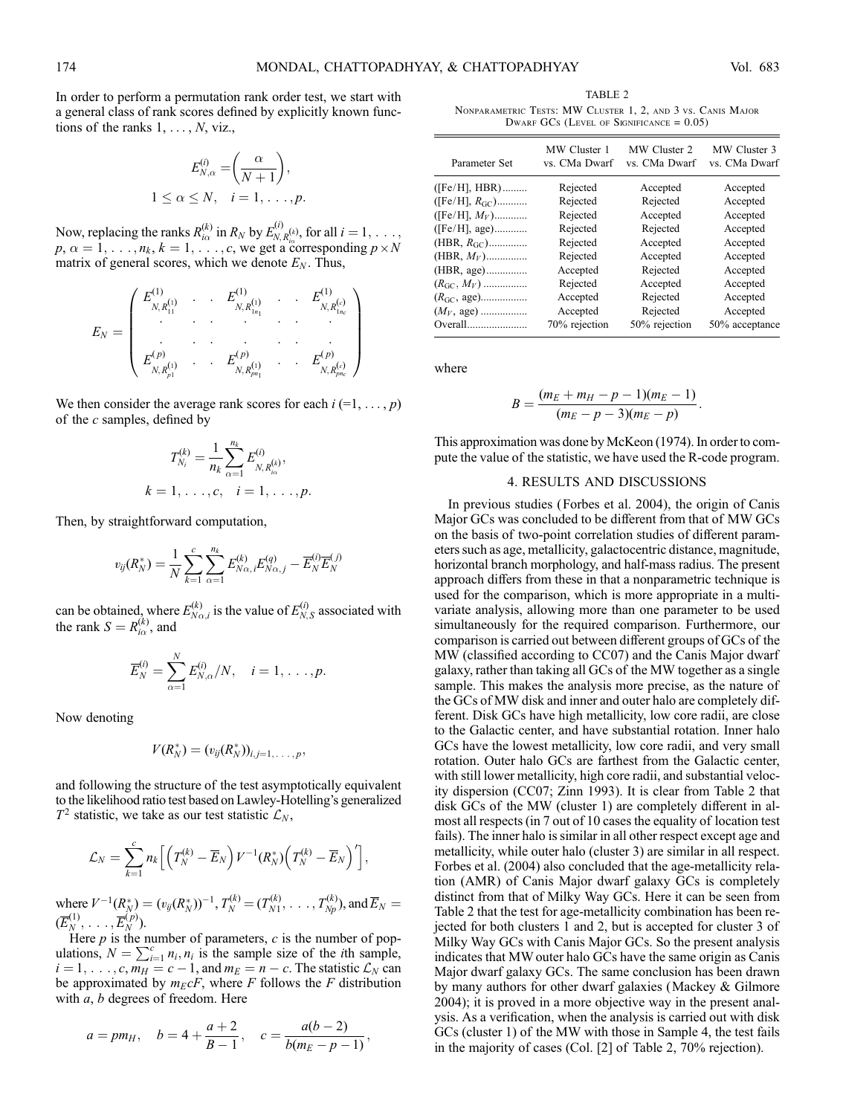In order to perform a permutation rank order test, we start with a general class of rank scores defined by explicitly known functions of the ranks  $1, \ldots, N$ , viz.,

$$
E_{N,\alpha}^{(i)} = \left(\frac{\alpha}{N+1}\right),
$$
  
 
$$
1 \leq \alpha \leq N, \quad i = 1, \dots, p.
$$

Now, replacing the ranks  $R_{i\alpha}^{(k)}$  in  $R_N$  by  $E_{N,R_{i\alpha}}^{(i)}$ , for all  $i = 1, \ldots, n$  $p, \alpha = 1, \ldots, n_k, k = 1, \ldots, c$ , we get a corresponding  $p \times N$ matrix of general scores, which we denote  $E_N$ . Thus,

$$
E_N = \begin{pmatrix} E_{N,R_{11}^{(1)}}^{(1)} & \cdots & E_{N,R_{1n_1}^{(1)}}^{(1)} & \cdots & E_{N,R_{1n_c}^{(c)}}^{(1)} \\ \vdots & \vdots & \ddots & \vdots & \vdots \\ E_{N,R_{p1}^{(1)}}^{(p)} & \cdots & E_{N,R_{pn_1}^{(p)}}^{(p)} & \cdots & E_{N,R_{pn_c}^{(c)}}^{(p)} \end{pmatrix}
$$

We then consider the average rank scores for each  $i = 1, \ldots, p$ ) of the  $c$  samples, defined by

$$
T_{N_i}^{(k)} = \frac{1}{n_k} \sum_{\alpha=1}^{n_k} E_{N, R_{i\alpha}^{(k)}}^{(i)},
$$
  

$$
k = 1, \dots, c, \quad i = 1, \dots, p.
$$

Then, by straightforward computation,

$$
v_{ij}(R_N^*) = \frac{1}{N} \sum_{k=1}^c \sum_{\alpha=1}^{n_k} E_{N\alpha,i}^{(k)} E_{N\alpha,j}^{(q)} - \overline{E}_N^{(i)} \overline{E}_N^{(j)}
$$

can be obtained, where  $E_{N\alpha,i}^{(k)}$  is the value of  $E_{N,S}^{(i)}$  associated with the rank  $S = R_{i\alpha}^{(k)}$ , and

$$
\overline{E}_N^{(i)} = \sum_{\alpha=1}^N E_{N,\alpha}^{(i)}/N, \quad i = 1, \ldots, p.
$$

Now denoting

$$
V(R_N^*)=(v_{ij}(R_N^*))_{i,j=1,\ldots,p},
$$

and following the structure of the test asymptotically equivalent to the likelihood ratio test based on Lawley-Hotelling's generalized  $T^2$  statistic, we take as our test statistic  $\mathcal{L}_N$ ,

$$
\mathcal{L}_N=\sum_{k=1}^c n_k \Big[\Big(T_N^{(k)}-\overline{E}_N\Big)V^{-1}(R_N^*)\Big(T_N^{(k)}-\overline{E}_N\Big)'\Big],
$$

where  $V^{-1}(R_N^*) = (v_{ij}(R_N^*))^{-1}, T_N^{(k)} = (T_{N1}^{(k)}, \ldots, T_{Np}^{(k)}),$  and  $\overline{E}_N =$  $(\overline{E}_N^{(1)}, \ldots, \overline{E}_N^{(p)}).$ 

Here  $p$  is the number of parameters,  $c$  is the number of pop-There p is the number of parameters, e is the number of populations,  $N = \sum_{i=1}^{c} n_i$ ,  $n_i$  is the sample size of the *i*th sample,  $i = 1, \ldots, c, m_H = c - 1$ , and  $m_E = n - c$ . The statistic  $\mathcal{L}_N$  can be approximated by  $m_E cF$ , where F follows the F distribution with  $a, b$  degrees of freedom. Here

$$
a = pm_H
$$
,  $b = 4 + \frac{a+2}{B-1}$ ,  $c = \frac{a(b-2)}{b(m_E - p - 1)}$ ,

TABLE 2 Nonparametric Tests: MW Cluster 1, 2, and 3 vs. Canis Major DWARF GCs (LEVEL OF SIGNIFICANCE  $= 0.05$ )

| Parameter Set           | MW Cluster 1<br>vs. CMa Dwarf | MW Cluster 2<br>vs. CMa Dwarf | MW Cluster 3<br>vs. CMa Dwarf |
|-------------------------|-------------------------------|-------------------------------|-------------------------------|
| $(Fe/H], HBR)$          | Rejected                      | Accepted                      | Accepted                      |
| ([Fe/H], $R_{\rm GC}$ ) | Rejected                      | Rejected                      | Accepted                      |
| ([Fe/H], $M_V$ )        | Rejected                      | Accepted                      | Accepted                      |
| $(Fe/H]$ , age)         | Rejected                      | Rejected                      | Accepted                      |
| (HBR, $R_{\rm GC}$ )    | Rejected                      | Accepted                      | Accepted                      |
| (HBR, $M_V$ )           | Rejected                      | Accepted                      | Accepted                      |
|                         | Accepted                      | Rejected                      | Accepted                      |
| $(R_{\rm GC}, M_V)$     | Rejected                      | Accepted                      | Accepted                      |
|                         | Accepted                      | Rejected                      | Accepted                      |
| $(M_V, \text{ age})$    | Accepted                      | Rejected                      | Accepted                      |
| Overall                 | 70% rejection                 | 50% rejection                 | 50% acceptance                |

where

$$
B=\frac{(m_E+m_H-p-1)(m_E-1)}{(m_E-p-3)(m_E-p)}.
$$

This approximation was done by McKeon (1974). In order to compute the value of the statistic, we have used the R-code program.

#### 4. RESULTS AND DISCUSSIONS

In previous studies (Forbes et al. 2004), the origin of Canis Major GCs was concluded to be different from that of MW GCs on the basis of two-point correlation studies of different parameters such as age, metallicity, galactocentric distance, magnitude, horizontal branch morphology, and half-mass radius. The present approach differs from these in that a nonparametric technique is used for the comparison, which is more appropriate in a multivariate analysis, allowing more than one parameter to be used simultaneously for the required comparison. Furthermore, our comparison is carried out between different groups of GCs of the MW (classified according to CC07) and the Canis Major dwarf galaxy, rather than taking all GCs of the MW together as a single sample. This makes the analysis more precise, as the nature of the GCs of MW disk and inner and outer halo are completely different. Disk GCs have high metallicity, low core radii, are close to the Galactic center, and have substantial rotation. Inner halo GCs have the lowest metallicity, low core radii, and very small rotation. Outer halo GCs are farthest from the Galactic center, with still lower metallicity, high core radii, and substantial velocity dispersion (CC07; Zinn 1993). It is clear from Table 2 that disk GCs of the MW (cluster 1) are completely different in almost all respects (in 7 out of 10 cases the equality of location test fails). The inner halo is similar in all other respect except age and metallicity, while outer halo (cluster 3) are similar in all respect. Forbes et al. (2004) also concluded that the age-metallicity relation (AMR) of Canis Major dwarf galaxy GCs is completely distinct from that of Milky Way GCs. Here it can be seen from Table 2 that the test for age-metallicity combination has been rejected for both clusters 1 and 2, but is accepted for cluster 3 of Milky Way GCs with Canis Major GCs. So the present analysis indicates that MW outer halo GCs have the same origin as Canis Major dwarf galaxy GCs. The same conclusion has been drawn by many authors for other dwarf galaxies (Mackey & Gilmore 2004); it is proved in a more objective way in the present analysis. As a verification, when the analysis is carried out with disk GCs (cluster 1) of the MW with those in Sample 4, the test fails in the majority of cases (Col. [2] of Table 2, 70% rejection).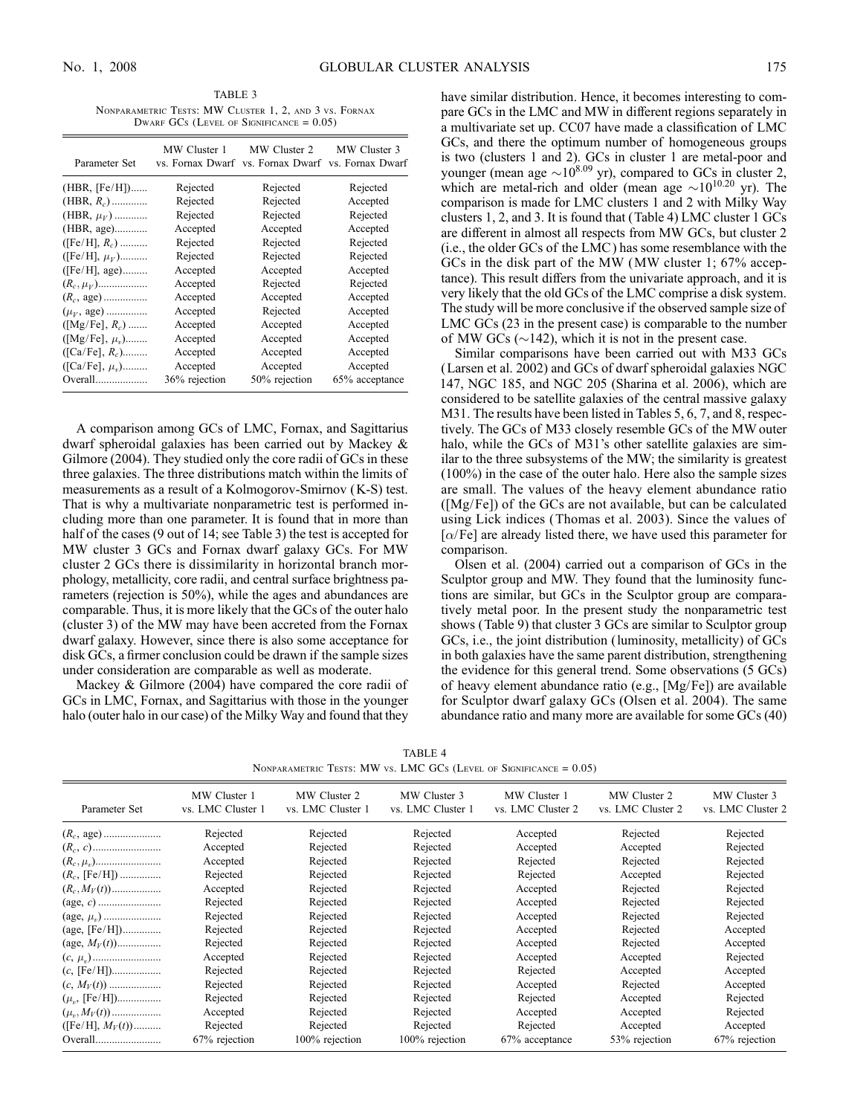TABLE 3 Nonparametric Tests: MW Cluster 1, 2, and 3 vs. Fornax DWARF GCs (LEVEL OF SIGNIFICANCE  $= 0.05$ )

| Parameter Set          | MW Cluster 1  | MW Cluster 2<br>vs. Fornax Dwarf vs. Fornax Dwarf | MW Cluster 3<br>vs. Fornax Dwarf |
|------------------------|---------------|---------------------------------------------------|----------------------------------|
| $(HBR, [Fe/H])$        | Rejected      | Rejected                                          | Rejected                         |
| (HBR, $R_c$ )          | Rejected      | Rejected                                          | Accepted                         |
| (HBR, $\mu_V$ )        | Rejected      | Rejected                                          | Rejected                         |
|                        | Accepted      | Accepted                                          | Accepted                         |
| ([Fe/H], $R_c$ )       | Rejected      | Rejected                                          | Rejected                         |
| ([Fe/H], $\mu_V$ )     | Rejected      | Rejected                                          | Rejected                         |
| $(Fe/H]$ , age)        | Accepted      | Accepted                                          | Accepted                         |
| $(R_c, \mu_V)$         | Accepted      | Rejected                                          | Rejected                         |
| $(R_c, \text{ age})$   | Accepted      | Accepted                                          | Accepted                         |
| $(\mu_V, \text{ age})$ | Accepted      | Rejected                                          | Accepted                         |
| $([Mg/Fe], R_c)$       | Accepted      | Accepted                                          | Accepted                         |
| $([Mg/Fe], \mu_{n})$   | Accepted      | Accepted                                          | Accepted                         |
| $([Ca/Fe], R_c)$       | Accepted      | Accepted                                          | Accepted                         |
| $([Ca/Fe], \mu_{\nu})$ | Accepted      | Accepted                                          | Accepted                         |
| Overall                | 36% rejection | 50% rejection                                     | 65% acceptance                   |

A comparison among GCs of LMC, Fornax, and Sagittarius dwarf spheroidal galaxies has been carried out by Mackey & Gilmore (2004). They studied only the core radii of GCs in these three galaxies. The three distributions match within the limits of measurements as a result of a Kolmogorov-Smirnov (K-S) test. That is why a multivariate nonparametric test is performed including more than one parameter. It is found that in more than half of the cases (9 out of 14; see Table 3) the test is accepted for MW cluster 3 GCs and Fornax dwarf galaxy GCs. For MW cluster 2 GCs there is dissimilarity in horizontal branch morphology, metallicity, core radii, and central surface brightness parameters (rejection is 50%), while the ages and abundances are comparable. Thus, it is more likely that the GCs of the outer halo (cluster 3) of the MW may have been accreted from the Fornax dwarf galaxy. However, since there is also some acceptance for disk GCs, a firmer conclusion could be drawn if the sample sizes under consideration are comparable as well as moderate.

Mackey & Gilmore (2004) have compared the core radii of GCs in LMC, Fornax, and Sagittarius with those in the younger halo (outer halo in our case) of the Milky Way and found that they have similar distribution. Hence, it becomes interesting to compare GCs in the LMC and MW in different regions separately in a multivariate set up. CC07 have made a classification of LMC GCs, and there the optimum number of homogeneous groups is two (clusters 1 and 2). GCs in cluster 1 are metal-poor and younger (mean age  $\sim 10^{8.09}$  yr), compared to GCs in cluster 2, which are metal-rich and older (mean age  $\sim 10^{10.20}$  yr). The comparison is made for LMC clusters 1 and 2 with Milky Way clusters 1, 2, and 3. It is found that (Table 4) LMC cluster 1 GCs are different in almost all respects from MW GCs, but cluster 2 (i.e., the older GCs of the LMC ) has some resemblance with the GCs in the disk part of the MW (MW cluster 1; 67% acceptance). This result differs from the univariate approach, and it is very likely that the old GCs of the LMC comprise a disk system. The study will be more conclusive if the observed sample size of LMC GCs (23 in the present case) is comparable to the number of MW GCs ( $\sim$ 142), which it is not in the present case.

Similar comparisons have been carried out with M33 GCs (Larsen et al. 2002) and GCs of dwarf spheroidal galaxies NGC 147, NGC 185, and NGC 205 (Sharina et al. 2006), which are considered to be satellite galaxies of the central massive galaxy M31. The results have been listed in Tables 5, 6, 7, and 8, respectively. The GCs of M33 closely resemble GCs of the MW outer halo, while the GCs of M31's other satellite galaxies are similar to the three subsystems of the MW; the similarity is greatest (100%) in the case of the outer halo. Here also the sample sizes are small. The values of the heavy element abundance ratio ([Mg/Fe]) of the GCs are not available, but can be calculated using Lick indices (Thomas et al. 2003). Since the values of  $[\alpha/\text{Fe}]$  are already listed there, we have used this parameter for comparison.

Olsen et al. (2004) carried out a comparison of GCs in the Sculptor group and MW. They found that the luminosity functions are similar, but GCs in the Sculptor group are comparatively metal poor. In the present study the nonparametric test shows (Table 9) that cluster 3 GCs are similar to Sculptor group GCs, i.e., the joint distribution (luminosity, metallicity) of GCs in both galaxies have the same parent distribution, strengthening the evidence for this general trend. Some observations (5 GCs) of heavy element abundance ratio (e.g., [Mg/Fe]) are available for Sculptor dwarf galaxy GCs (Olsen et al. 2004). The same abundance ratio and many more are available for some GCs (40)

TABLE 4 NONPARAMETRIC TESTS: MW vs. LMC GCs (LEVEL OF SIGNIFICANCE  $= 0.05$ )

| Parameter Set     | MW Cluster 1<br>vs. LMC Cluster 1 | MW Cluster 2<br>vs. LMC Cluster 1 | MW Cluster 3<br>vs. LMC Cluster 1 | MW Cluster 1<br>vs. LMC Cluster 2 | MW Cluster 2<br>vs. LMC Cluster 2 | MW Cluster 3<br>vs. LMC Cluster 2 |
|-------------------|-----------------------------------|-----------------------------------|-----------------------------------|-----------------------------------|-----------------------------------|-----------------------------------|
|                   | Rejected                          | Rejected                          | Rejected                          | Accepted                          | Rejected                          | Rejected                          |
|                   | Accepted                          | Rejected                          | Rejected                          | Accepted                          | Accepted                          | Rejected                          |
|                   | Accepted                          | Rejected                          | Rejected                          | Rejected                          | Rejected                          | Rejected                          |
| $(R_c, [Fe/H])$   | Rejected                          | Rejected                          | Rejected                          | Rejected                          | Accepted                          | Rejected                          |
| $(R_c, M_V(t))$   | Accepted                          | Rejected                          | Rejected                          | Accepted                          | Rejected                          | Rejected                          |
|                   | Rejected                          | Rejected                          | Rejected                          | Accepted                          | Rejected                          | Rejected                          |
|                   | Rejected                          | Rejected                          | Rejected                          | Accepted                          | Rejected                          | Rejected                          |
| (age, $[Fe/H]$ )  | Rejected                          | Rejected                          | Rejected                          | Accepted                          | Rejected                          | Accepted                          |
| (age, $M_V(t)$ )  | Rejected                          | Rejected                          | Rejected                          | Accepted                          | Rejected                          | Accepted                          |
|                   | Accepted                          | Rejected                          | Rejected                          | Accepted                          | Accepted                          | Rejected                          |
|                   | Rejected                          | Rejected                          | Rejected                          | Rejected                          | Accepted                          | Accepted                          |
| $(c, M_V(t))$     | Rejected                          | Rejected                          | Rejected                          | Accepted                          | Rejected                          | Accepted                          |
| $(\mu_n,$ [Fe/H]) | Rejected                          | Rejected                          | Rejected                          | Rejected                          | Accepted                          | Rejected                          |
| $(\mu_n, M_V(t))$ | Accepted                          | Rejected                          | Rejected                          | Accepted                          | Accepted                          | Rejected                          |
| $(Fe/H], M_V(t))$ | Rejected                          | Rejected                          | Rejected                          | Rejected                          | Accepted                          | Accepted                          |
|                   | 67% rejection                     | 100% rejection                    | 100% rejection                    | 67% acceptance                    | 53% rejection                     | 67% rejection                     |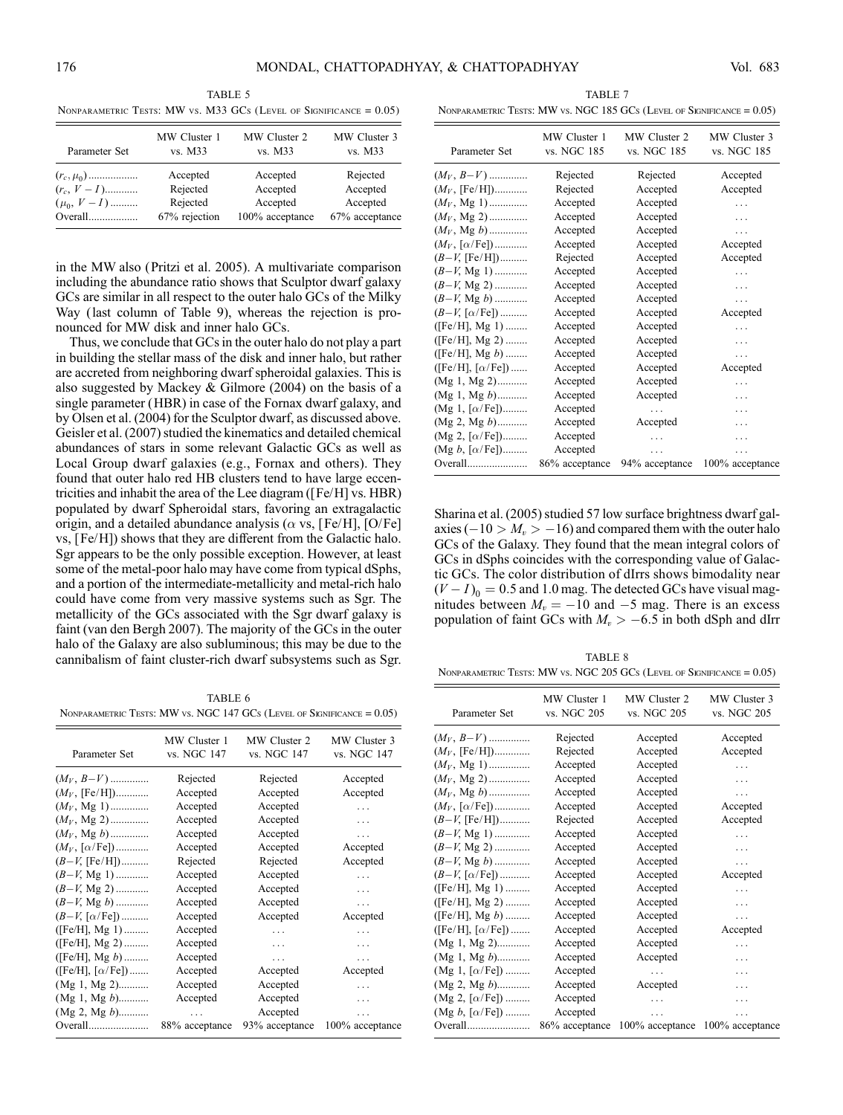TABLE 5 NONPARAMETRIC TESTS: MW vs. M33 GCs (LEVEL OF SIGNIFICANCE  $= 0.05$ )

| Parameter Set  | MW Cluster 1  | MW Cluster 2    | MW Cluster 3   |
|----------------|---------------|-----------------|----------------|
|                | vs. M33       | vs. M33         | vs. M33        |
| $(r_c, \mu_0)$ | Accepted      | Accepted        | Rejected       |
| $(r_c, V-I)$   | Rejected      | Accepted        | Accepted       |
| $(\mu_0, V-I)$ | Rejected      | Accepted        | Accepted       |
|                | 67% rejection | 100% acceptance | 67% acceptance |

in the MW also (Pritzi et al. 2005). A multivariate comparison including the abundance ratio shows that Sculptor dwarf galaxy GCs are similar in all respect to the outer halo GCs of the Milky Way (last column of Table 9), whereas the rejection is pronounced for MW disk and inner halo GCs.

Thus, we conclude that GCs in the outer halo do not play a part in building the stellar mass of the disk and inner halo, but rather are accreted from neighboring dwarf spheroidal galaxies. This is also suggested by Mackey & Gilmore (2004) on the basis of a single parameter (HBR) in case of the Fornax dwarf galaxy, and by Olsen et al. (2004) for the Sculptor dwarf, as discussed above. Geisler et al. (2007) studied the kinematics and detailed chemical abundances of stars in some relevant Galactic GCs as well as Local Group dwarf galaxies (e.g., Fornax and others). They found that outer halo red HB clusters tend to have large eccentricities and inhabit the area of the Lee diagram ([Fe/H] vs. HBR) populated by dwarf Spheroidal stars, favoring an extragalactic origin, and a detailed abundance analysis ( $\alpha$  vs, [Fe/H], [O/Fe] vs, [Fe/H]) shows that they are different from the Galactic halo. Sgr appears to be the only possible exception. However, at least some of the metal-poor halo may have come from typical dSphs, and a portion of the intermediate-metallicity and metal-rich halo could have come from very massive systems such as Sgr. The metallicity of the GCs associated with the Sgr dwarf galaxy is faint (van den Bergh 2007). The majority of the GCs in the outer halo of the Galaxy are also subluminous; this may be due to the cannibalism of faint cluster-rich dwarf subsystems such as Sgr.

TABLE 6 NONPARAMETRIC TESTS: MW vs. NGC 147 GCs (LEVEL OF SIGNIFICANCE  $= 0.05$ )

| Parameter Set                                | MW Cluster 1<br>vs. NGC 147 | MW Cluster 2<br>vs. NGC 147 | MW Cluster 3<br>vs. NGC 147 |
|----------------------------------------------|-----------------------------|-----------------------------|-----------------------------|
| $(M_V, B-V)$                                 | Rejected                    | Rejected                    | Accepted                    |
| $(M_V, {\rm [Fe/H]})$                        | Accepted                    | Accepted                    | Accepted                    |
| $(M_V, Mg 1)$                                | Accepted                    | Accepted                    | $\cdots$                    |
| $(M_V, Mg 2)$                                | Accepted                    | Accepted                    | $\cdots$                    |
| $(M_V, Mg b)$                                | Accepted                    | Accepted                    | .                           |
| $(M_V, [\alpha/\text{Fe}])$                  | Accepted                    | Accepted                    | Accepted                    |
| $(B-V, [Fe/H])$                              | Rejected                    | Rejected                    | Accepted                    |
| $(B-V, Mg 1)$                                | Accepted                    | Accepted                    | .                           |
| $(B-V, Mg 2)$                                | Accepted                    | Accepted                    | .                           |
| $(B-V, Mg b)$                                | Accepted                    | Accepted                    | $\cdots$                    |
| $(B-V, [\alpha/Fe])$                         | Accepted                    | Accepted                    | Accepted                    |
| $(Fe/H], Mg 1)$                              | Accepted                    | .                           | $\cdots$                    |
| ([Fe/H], Mg 2)                               | Accepted                    | $\cdots$                    | .                           |
| ([Fe/H], Mg $b$ )                            | Accepted                    | $\cdots$                    | .                           |
| $(\text{[Fe/H]}, \text{[}\alpha\text{/Fe]})$ | Accepted                    | Accepted                    | Accepted                    |
| $(Mg 1, Mg 2)$                               | Accepted                    | Accepted                    | .                           |
| $(Mg 1, Mg b)$                               | Accepted                    | Accepted                    | $\cdots$                    |
| $(Mg 2, Mg b)$                               | .                           | Accepted                    |                             |
| Overall                                      | 88% acceptance              | 93% acceptance              | 100% acceptance             |

TABLE 7 NONPARAMETRIC TESTS: MW vs. NGC 185 GCs (LEVEL OF SIGNIFICANCE  $= 0.05$ )

| Parameter Set                                | MW Cluster 1<br>vs. NGC 185 | MW Cluster 2<br>vs. NGC 185 | MW Cluster 3<br>vs. NGC 185 |
|----------------------------------------------|-----------------------------|-----------------------------|-----------------------------|
| $(M_V, B-V)$                                 | Rejected                    | Rejected                    | Accepted                    |
| $(M_V, {\rm [Fe/H]})$                        | Rejected                    | Accepted                    | Accepted                    |
| $(M_V, Mg 1)$                                | Accepted                    | Accepted                    | .                           |
| $(M_V, Mg 2)$                                | Accepted                    | Accepted                    | .                           |
| $(M_V, Mg b)$                                | Accepted                    | Accepted                    | .                           |
| $(M_V, [\alpha/\text{Fe}])$                  | Accepted                    | Accepted                    | Accepted                    |
| $(B-V, [Fe/H])$                              | Rejected                    | Accepted                    | Accepted                    |
| $(B-V, Mg 1)$                                | Accepted                    | Accepted                    | .                           |
| $(B-V, Mg 2)$                                | Accepted                    | Accepted                    | .                           |
| $(B-V, Mg b)$                                | Accepted                    | Accepted                    | .                           |
| $(B-V, [\alpha/Fe])$                         | Accepted                    | Accepted                    | Accepted                    |
| $(Fe/H], Mg 1)$                              | Accepted                    | Accepted                    | .                           |
| $(Fe/H], Mg 2)$                              | Accepted                    | Accepted                    | .                           |
| ([Fe/H], Mg b)                               | Accepted                    | Accepted                    | .                           |
| $(\text{[Fe/H]}, \text{[}\alpha\text{/Fe]})$ | Accepted                    | Accepted                    | Accepted                    |
| $(Mg 1, Mg 2)$                               | Accepted                    | Accepted                    | .                           |
| $(Mg 1, Mg b)$                               | Accepted                    | Accepted                    | .                           |
| $(Mg 1, [\alpha/Fe])$                        | Accepted                    | .                           | $\cdots$                    |
| $(Mg 2, Mg b)$                               | Accepted                    | Accepted                    | .                           |
| $(Mg 2, [\alpha/Fe])$                        | Accepted                    |                             | .                           |
| (Mg $b, [\alpha/\text{Fe}])$                 | Accepted                    | .                           |                             |
| Overall                                      | 86% acceptance              | 94% acceptance              | 100% acceptance             |
|                                              |                             |                             |                             |

Sharina et al. (2005) studied 57 low surface brightness dwarf galaxies ( $-10 > M_v > -16$ ) and compared them with the outer halo GCs of the Galaxy. They found that the mean integral colors of GCs in dSphs coincides with the corresponding value of Galactic GCs. The color distribution of dIrrs shows bimodality near  $(V - I)$ <sub>0</sub> = 0.5 and 1.0 mag. The detected GCs have visual magnitudes between  $M_v = -10$  and  $-5$  mag. There is an excess population of faint GCs with  $M_v > -6.5$  in both dSph and dIrr

TABLE 8 Nonparametric Tests: MW vs. NGC 205 GCs (Level of Significance = 0.05)

| Parameter Set                             | MW Cluster 1<br>vs. NGC 205 | MW Cluster 2<br>vs. NGC 205 | MW Cluster 3<br>vs. NGC 205 |
|-------------------------------------------|-----------------------------|-----------------------------|-----------------------------|
| $(M_V, B-V)$                              | Rejected                    | Accepted                    | Accepted                    |
| $(M_V, {\rm [Fe/H]})$                     | Rejected                    | Accepted                    | Accepted                    |
| $(M_V, Mg 1)$                             | Accepted                    | Accepted                    | .                           |
| $(M_V, Mg 2)$                             | Accepted                    | Accepted                    | .                           |
| $(M_V, Mg b)$                             | Accepted                    | Accepted                    | .                           |
| $(M_V, \lceil \alpha / \text{Fe} \rceil)$ | Accepted                    | Accepted                    | Accepted                    |
| $(B-V, [Fe/H])$                           | Rejected                    | Accepted                    | Accepted                    |
| $(B-V, Mg 1)$                             | Accepted                    | Accepted                    | .                           |
| $(B-V, Mg 2)$                             | Accepted                    | Accepted                    | $\cdots$                    |
| $(B-V, Mg b)$                             | Accepted                    | Accepted                    | .                           |
| $(B-V, [\alpha/\text{Fe}])$               | Accepted                    | Accepted                    | Accepted                    |
| ([Fe/H], Mg 1)                            | Accepted                    | Accepted                    | .                           |
| ([Fe/H], Mg 2)                            | Accepted                    | Accepted                    | .                           |
| ([Fe/H], Mg b)                            | Accepted                    | Accepted                    | .                           |
| ([Fe/H], [ $\alpha$ /Fe])                 | Accepted                    | Accepted                    | Accepted                    |
| $(Mg 1, Mg 2)$                            | Accepted                    | Accepted                    | .                           |
| $(Mg 1, Mg b)$                            | Accepted                    | Accepted                    | .                           |
| $(Mg 1, [\alpha/Fe])$                     | Accepted                    | .                           | .                           |
| $(Mg 2, Mg b)$                            | Accepted                    | Accepted                    | .                           |
| $(Mg 2, [\alpha/Fe])$                     | Accepted                    | .                           | .                           |
| $(Mg b, [\alpha/Fe])$                     | Accepted                    | .                           |                             |
| Overall                                   | 86% acceptance              | 100% acceptance             | 100% acceptance             |
|                                           |                             |                             |                             |